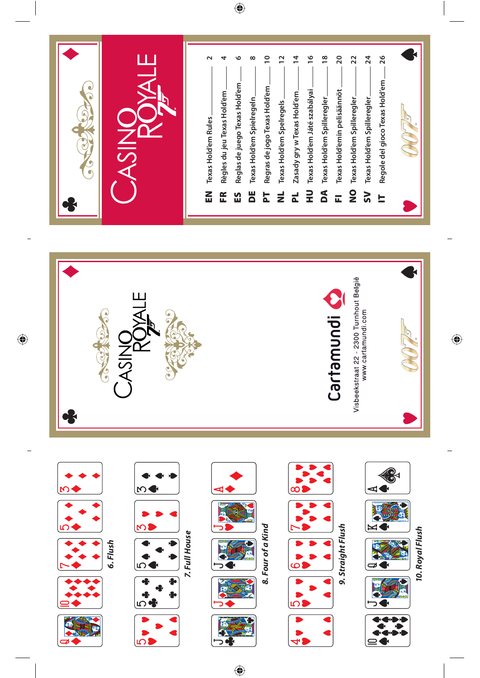

 $\bigoplus$ 

 $\bigoplus$ 

ø



 $\bigoplus$ 

 $\bigoplus$